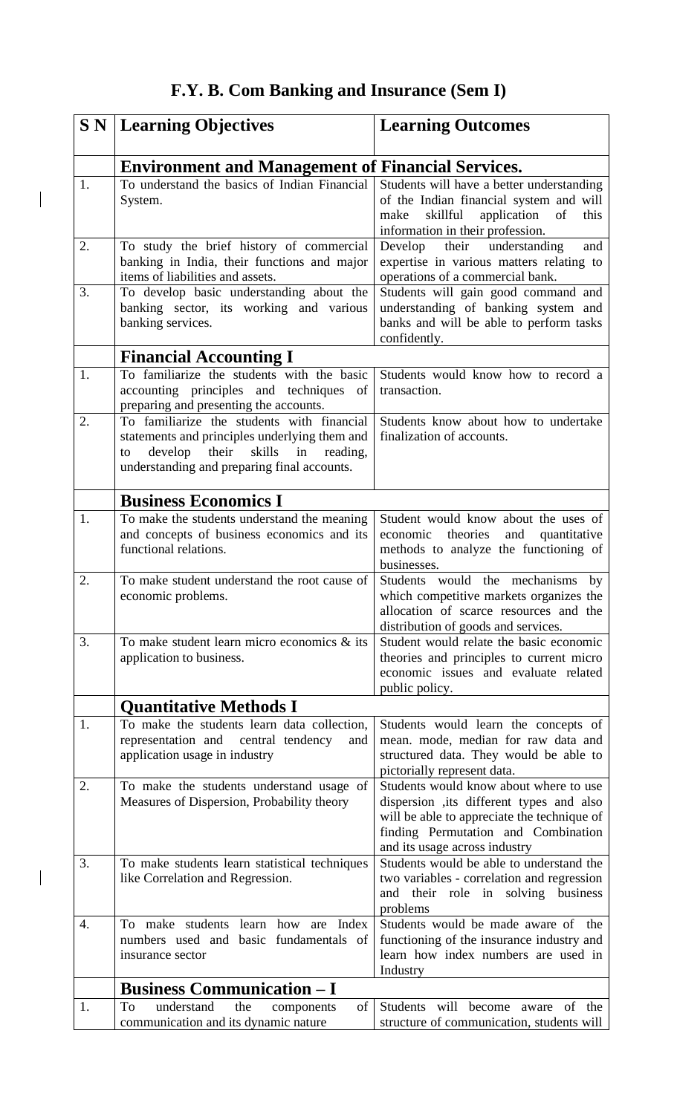## **F.Y. B. Com Banking and Insurance (Sem I)**

 $\begin{array}{c} \hline \end{array}$ 

 $\begin{array}{c} \begin{array}{c} \end{array} \end{array}$ 

| SN <sub></sub> | <b>Learning Objectives</b>                                                                                                                                                                       | <b>Learning Outcomes</b>                                                                                                                                                                                   |  |
|----------------|--------------------------------------------------------------------------------------------------------------------------------------------------------------------------------------------------|------------------------------------------------------------------------------------------------------------------------------------------------------------------------------------------------------------|--|
|                | <b>Environment and Management of Financial Services.</b>                                                                                                                                         |                                                                                                                                                                                                            |  |
| 1.             | To understand the basics of Indian Financial<br>System.                                                                                                                                          | Students will have a better understanding<br>of the Indian financial system and will<br>skillful<br>application<br>of<br>this<br>make<br>information in their profession.                                  |  |
| 2.             | To study the brief history of commercial<br>banking in India, their functions and major<br>items of liabilities and assets.                                                                      | their<br>understanding<br>Develop<br>and<br>expertise in various matters relating to<br>operations of a commercial bank.                                                                                   |  |
| 3.             | To develop basic understanding about the<br>banking sector, its working and various<br>banking services.                                                                                         | Students will gain good command and<br>understanding of banking system and<br>banks and will be able to perform tasks<br>confidently.                                                                      |  |
|                | <b>Financial Accounting I</b>                                                                                                                                                                    |                                                                                                                                                                                                            |  |
| 1.             | To familiarize the students with the basic<br>accounting principles and techniques of<br>preparing and presenting the accounts.                                                                  | Students would know how to record a<br>transaction.                                                                                                                                                        |  |
| 2.             | To familiarize the students with financial<br>statements and principles underlying them and<br>develop<br>their<br>skills<br>in<br>reading,<br>to<br>understanding and preparing final accounts. | Students know about how to undertake<br>finalization of accounts.                                                                                                                                          |  |
|                | <b>Business Economics I</b>                                                                                                                                                                      |                                                                                                                                                                                                            |  |
| 1.             | To make the students understand the meaning<br>and concepts of business economics and its<br>functional relations.                                                                               | Student would know about the uses of<br>and<br>economic theories<br>quantitative<br>methods to analyze the functioning of<br>businesses.                                                                   |  |
| 2.             | To make student understand the root cause of<br>economic problems.                                                                                                                               | Students would the mechanisms<br>by<br>which competitive markets organizes the<br>allocation of scarce resources and the<br>distribution of goods and services.                                            |  |
| 3.             | To make student learn micro economics $\&$ its<br>application to business.                                                                                                                       | Student would relate the basic economic<br>theories and principles to current micro<br>economic issues and evaluate related<br>public policy.                                                              |  |
|                | <b>Quantitative Methods I</b>                                                                                                                                                                    |                                                                                                                                                                                                            |  |
| 1.             | To make the students learn data collection,<br>representation and central tendency<br>and<br>application usage in industry                                                                       | Students would learn the concepts of<br>mean. mode, median for raw data and<br>structured data. They would be able to<br>pictorially represent data.                                                       |  |
| 2.             | To make the students understand usage of<br>Measures of Dispersion, Probability theory                                                                                                           | Students would know about where to use<br>dispersion , its different types and also<br>will be able to appreciate the technique of<br>finding Permutation and Combination<br>and its usage across industry |  |
| 3.             | To make students learn statistical techniques<br>like Correlation and Regression.                                                                                                                | Students would be able to understand the<br>two variables - correlation and regression<br>and their role in solving business<br>problems                                                                   |  |
| 4.             | To make students learn how are Index<br>numbers used and basic fundamentals of<br>insurance sector                                                                                               | Students would be made aware of the<br>functioning of the insurance industry and<br>learn how index numbers are used in<br>Industry                                                                        |  |
|                | <b>Business Communication – I</b>                                                                                                                                                                |                                                                                                                                                                                                            |  |
| 1.             | understand<br>the<br>of<br>To<br>components<br>communication and its dynamic nature                                                                                                              | Students will<br>of the<br>become<br>aware<br>structure of communication, students will                                                                                                                    |  |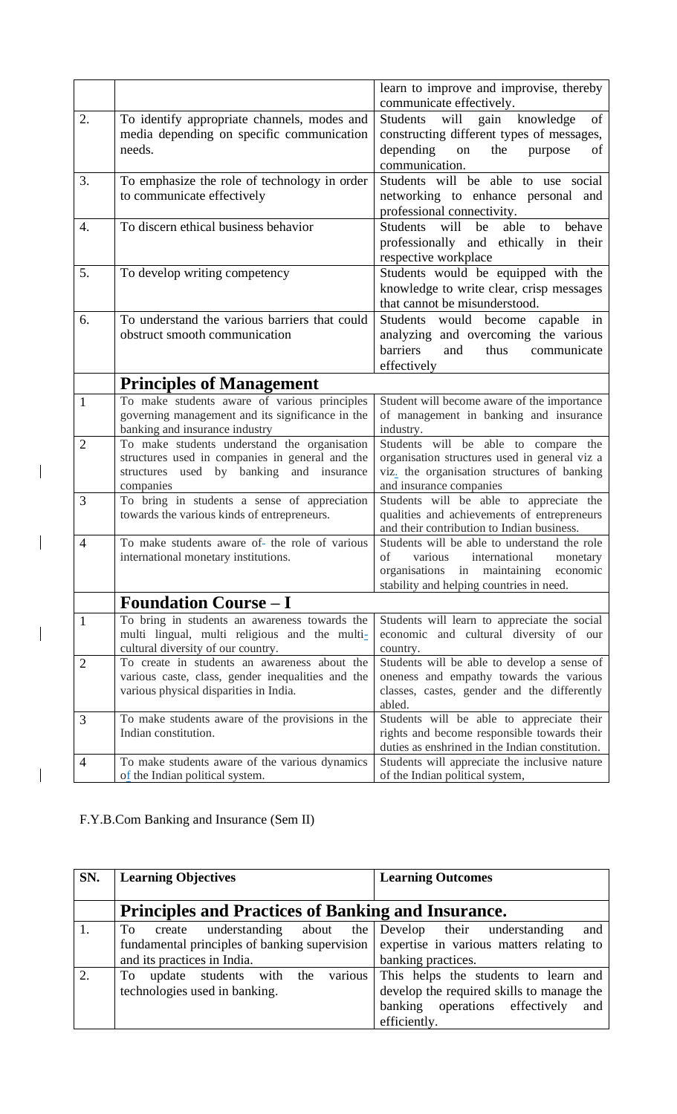|                |                                                                                                                                                          | learn to improve and improvise, thereby<br>communicate effectively.                                                                                                             |
|----------------|----------------------------------------------------------------------------------------------------------------------------------------------------------|---------------------------------------------------------------------------------------------------------------------------------------------------------------------------------|
| 2.             | To identify appropriate channels, modes and<br>media depending on specific communication<br>needs.                                                       | will<br>gain<br>knowledge<br>Students<br>of<br>constructing different types of messages,<br>depending<br>the<br>purpose<br>on<br>of<br>communication.                           |
| 3.             | To emphasize the role of technology in order<br>to communicate effectively                                                                               | Students will be able to use social<br>networking to enhance personal and<br>professional connectivity.                                                                         |
| 4.             | To discern ethical business behavior                                                                                                                     | able<br>will<br>behave<br>be<br>Students<br>to<br>professionally and ethically in their<br>respective workplace                                                                 |
| 5.             | To develop writing competency                                                                                                                            | Students would be equipped with the<br>knowledge to write clear, crisp messages<br>that cannot be misunderstood.                                                                |
| 6.             | To understand the various barriers that could<br>obstruct smooth communication                                                                           | Students would become capable in<br>analyzing and overcoming the various<br>barriers<br>thus<br>and<br>communicate<br>effectively                                               |
|                | <b>Principles of Management</b>                                                                                                                          |                                                                                                                                                                                 |
| 1              | To make students aware of various principles<br>governing management and its significance in the<br>banking and insurance industry                       | Student will become aware of the importance<br>of management in banking and insurance<br>industry.                                                                              |
| $\overline{2}$ | To make students understand the organisation<br>structures used in companies in general and the<br>structures used by banking and insurance<br>companies | Students will be able to compare the<br>organisation structures used in general viz a<br>viz. the organisation structures of banking<br>and insurance companies                 |
| 3              | To bring in students a sense of appreciation<br>towards the various kinds of entrepreneurs.                                                              | Students will be able to appreciate the<br>qualities and achievements of entrepreneurs<br>and their contribution to Indian business.                                            |
| $\overline{4}$ | To make students aware of- the role of various<br>international monetary institutions.                                                                   | Students will be able to understand the role<br>international<br>οf<br>various<br>monetary<br>organisations in maintaining economic<br>stability and helping countries in need. |
|                | <b>Foundation Course – I</b>                                                                                                                             |                                                                                                                                                                                 |
| $\mathbf{1}$   | To bring in students an awareness towards the<br>multi lingual, multi religious and the multi-<br>cultural diversity of our country.                     | Students will learn to appreciate the social<br>economic and cultural diversity of our<br>country.                                                                              |
| $\overline{2}$ | To create in students an awareness about the<br>various caste, class, gender inequalities and the<br>various physical disparities in India.              | Students will be able to develop a sense of<br>oneness and empathy towards the various<br>classes, castes, gender and the differently<br>abled.                                 |
| 3              | To make students aware of the provisions in the<br>Indian constitution.                                                                                  | Students will be able to appreciate their<br>rights and become responsible towards their<br>duties as enshrined in the Indian constitution.                                     |
| $\overline{4}$ | To make students aware of the various dynamics<br>of the Indian political system.                                                                        | Students will appreciate the inclusive nature<br>of the Indian political system,                                                                                                |

F.Y.B.Com Banking and Insurance (Sem II)

 $\begin{array}{c} \rule{0pt}{2ex} \rule{0pt}{2ex} \rule{0pt}{2ex} \rule{0pt}{2ex} \rule{0pt}{2ex} \rule{0pt}{2ex} \rule{0pt}{2ex} \rule{0pt}{2ex} \rule{0pt}{2ex} \rule{0pt}{2ex} \rule{0pt}{2ex} \rule{0pt}{2ex} \rule{0pt}{2ex} \rule{0pt}{2ex} \rule{0pt}{2ex} \rule{0pt}{2ex} \rule{0pt}{2ex} \rule{0pt}{2ex} \rule{0pt}{2ex} \rule{0pt}{2ex} \rule{0pt}{2ex} \rule{0pt}{2ex} \rule{0pt}{2ex} \rule{0pt}{$ 

 $\begin{array}{c} \hline \end{array}$ 

 $\begin{array}{c} \hline \end{array}$ 

 $\overline{\mathbf{I}}$ 

| SN.           | <b>Learning Objectives</b>                                                                                                 | <b>Learning Outcomes</b>                                                                                                                   |
|---------------|----------------------------------------------------------------------------------------------------------------------------|--------------------------------------------------------------------------------------------------------------------------------------------|
|               | <b>Principles and Practices of Banking and Insurance.</b>                                                                  |                                                                                                                                            |
|               | understanding about<br>the<br>To<br>create<br>fundamental principles of banking supervision<br>and its practices in India. | Develop their understanding<br>and<br>expertise in various matters relating to<br>banking practices.                                       |
| $\mathcal{D}$ | various<br>with the<br>update students<br>To T<br>technologies used in banking.                                            | This helps the students to learn and<br>develop the required skills to manage the<br>banking operations effectively<br>and<br>efficiently. |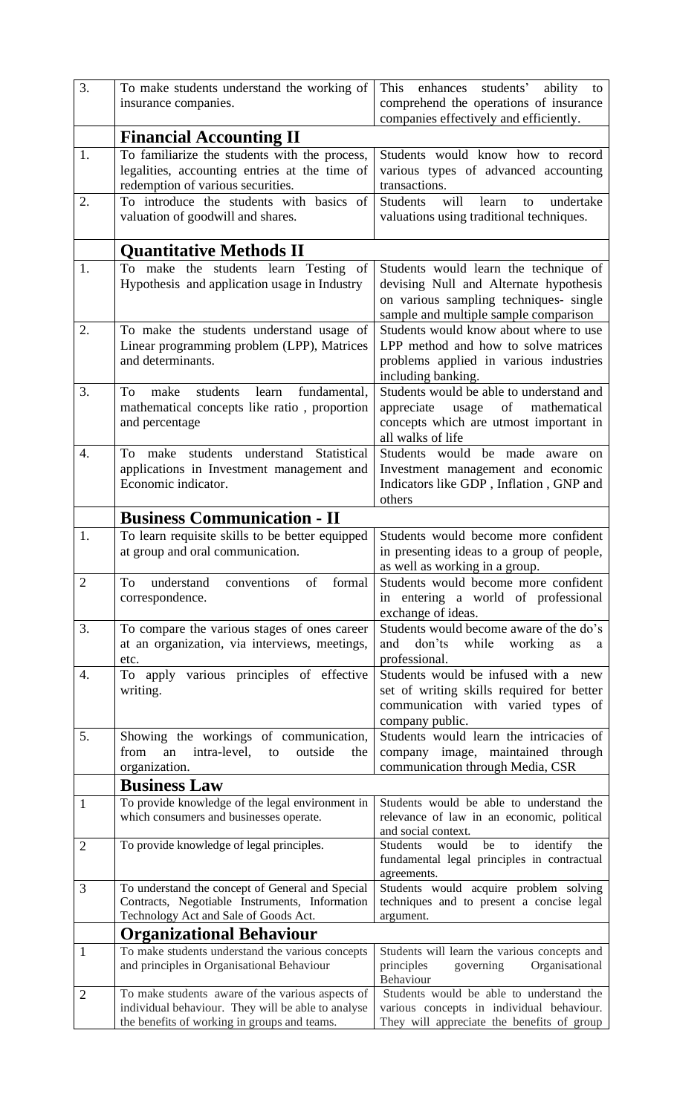| 3.             | To make students understand the working of<br>insurance companies.                                                                                     | This enhances students'<br>ability to<br>comprehend the operations of insurance<br>companies effectively and efficiently.                                          |  |
|----------------|--------------------------------------------------------------------------------------------------------------------------------------------------------|--------------------------------------------------------------------------------------------------------------------------------------------------------------------|--|
|                | <b>Financial Accounting II</b>                                                                                                                         |                                                                                                                                                                    |  |
| 1.             | To familiarize the students with the process,                                                                                                          | Students would know how to record                                                                                                                                  |  |
|                | legalities, accounting entries at the time of<br>redemption of various securities.                                                                     | various types of advanced accounting<br>transactions.                                                                                                              |  |
| 2.             | To introduce the students with basics of<br>valuation of goodwill and shares.                                                                          | will<br>learn<br>undertake<br><b>Students</b><br>to<br>valuations using traditional techniques.                                                                    |  |
|                | <b>Quantitative Methods II</b>                                                                                                                         |                                                                                                                                                                    |  |
| 1.             | To make the students learn Testing of<br>Hypothesis and application usage in Industry                                                                  | Students would learn the technique of<br>devising Null and Alternate hypothesis<br>on various sampling techniques- single<br>sample and multiple sample comparison |  |
| 2.             | To make the students understand usage of<br>Linear programming problem (LPP), Matrices<br>and determinants.                                            | Students would know about where to use<br>LPP method and how to solve matrices<br>problems applied in various industries<br>including banking.                     |  |
| 3.             | learn fundamental,<br>To<br>make<br>students<br>mathematical concepts like ratio, proportion<br>and percentage                                         | Students would be able to understand and<br>of<br>mathematical<br>appreciate<br>usage<br>concepts which are utmost important in<br>all walks of life               |  |
| 4.             | students understand<br>Statistical<br>To make<br>applications in Investment management and<br>Economic indicator.                                      | Students would be made aware<br><sub>on</sub><br>Investment management and economic<br>Indicators like GDP, Inflation, GNP and<br>others                           |  |
|                | <b>Business Communication - II</b>                                                                                                                     |                                                                                                                                                                    |  |
| 1.             | To learn requisite skills to be better equipped<br>at group and oral communication.                                                                    | Students would become more confident<br>in presenting ideas to a group of people,<br>as well as working in a group.                                                |  |
| $\overline{2}$ | To<br>understand<br>of<br>formal<br>conventions<br>correspondence.                                                                                     | Students would become more confident<br>in entering a world of professional<br>exchange of ideas.                                                                  |  |
| 3.             | To compare the various stages of ones career<br>at an organization, via interviews, meetings,<br>etc.                                                  | Students would become aware of the do's<br>don'ts<br>while<br>working<br>and<br>as<br>a<br>professional.                                                           |  |
| 4.             | To apply various principles of effective<br>writing.                                                                                                   | Students would be infused with a new<br>set of writing skills required for better<br>communication with varied types of<br>company public.                         |  |
| 5.             | Showing the workings of communication,<br>intra-level,<br>outside<br>from<br>an<br>to<br>the<br>organization.                                          | Students would learn the intricacies of<br>company image, maintained through<br>communication through Media, CSR                                                   |  |
|                | <b>Business Law</b>                                                                                                                                    |                                                                                                                                                                    |  |
| 1              | To provide knowledge of the legal environment in<br>which consumers and businesses operate.                                                            | Students would be able to understand the<br>relevance of law in an economic, political<br>and social context.                                                      |  |
| $\overline{2}$ | To provide knowledge of legal principles.                                                                                                              | identify<br>Students<br>would<br>be<br>the<br>to<br>fundamental legal principles in contractual<br>agreements.                                                     |  |
| 3              | To understand the concept of General and Special<br>Contracts, Negotiable Instruments, Information<br>Technology Act and Sale of Goods Act.            | Students would acquire problem solving<br>techniques and to present a concise legal<br>argument.                                                                   |  |
|                | <b>Organizational Behaviour</b>                                                                                                                        |                                                                                                                                                                    |  |
| $\mathbf{1}$   | To make students understand the various concepts<br>and principles in Organisational Behaviour                                                         | Students will learn the various concepts and<br>principles<br>Organisational<br>governing<br>Behaviour                                                             |  |
| $\overline{2}$ | To make students aware of the various aspects of<br>individual behaviour. They will be able to analyse<br>the benefits of working in groups and teams. | Students would be able to understand the<br>various concepts in individual behaviour.<br>They will appreciate the benefits of group                                |  |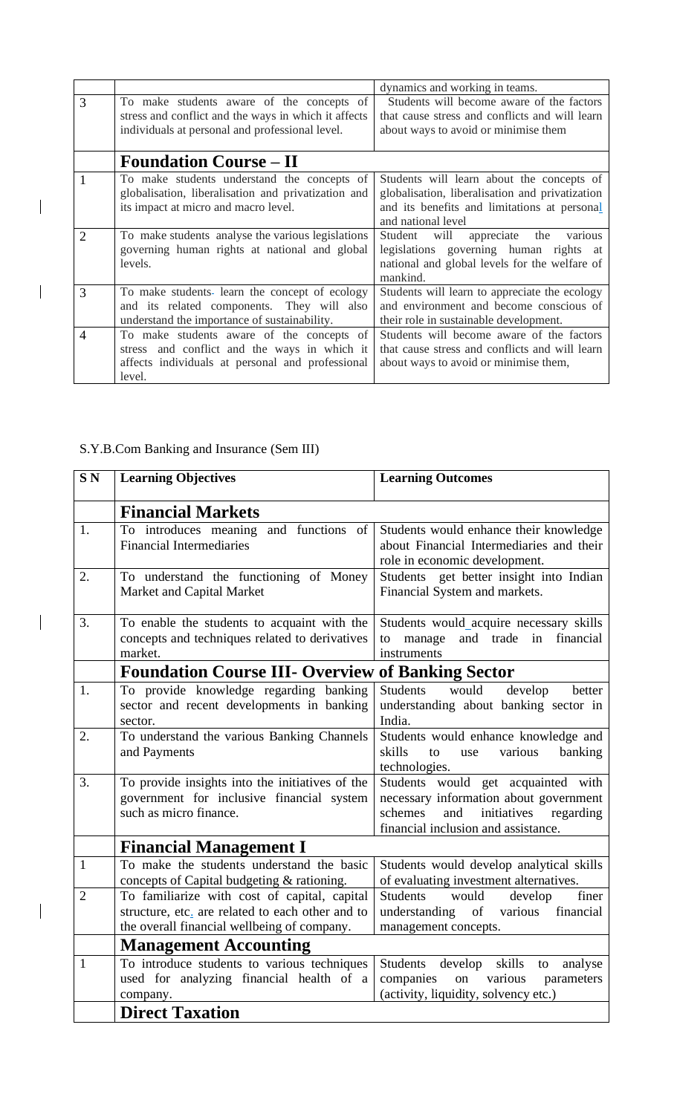|                |                                                                                                                                                         | dynamics and working in teams.                                                                                                                                     |
|----------------|---------------------------------------------------------------------------------------------------------------------------------------------------------|--------------------------------------------------------------------------------------------------------------------------------------------------------------------|
| 3              | To make students aware of the concepts of<br>stress and conflict and the ways in which it affects<br>individuals at personal and professional level.    | Students will become aware of the factors<br>that cause stress and conflicts and will learn<br>about ways to avoid or minimise them                                |
|                | <b>Foundation Course – II</b>                                                                                                                           |                                                                                                                                                                    |
|                | To make students understand the concepts of<br>globalisation, liberalisation and privatization and<br>its impact at micro and macro level.              | Students will learn about the concepts of<br>globalisation, liberalisation and privatization<br>and its benefits and limitations at personal<br>and national level |
| 2              | To make students analyse the various legislations<br>governing human rights at national and global<br>levels.                                           | will<br>appreciate<br>the<br>Student<br>various<br>legislations governing human rights at<br>national and global levels for the welfare of<br>mankind.             |
| 3              | To make students- learn the concept of ecology<br>and its related components. They will<br>also<br>understand the importance of sustainability.         | Students will learn to appreciate the ecology<br>and environment and become conscious of<br>their role in sustainable development.                                 |
| $\overline{4}$ | To make students aware of the concepts of<br>stress and conflict and the ways in which it<br>affects individuals at personal and professional<br>level. | Students will become aware of the factors<br>that cause stress and conflicts and will learn<br>about ways to avoid or minimise them,                               |

## S.Y.B.Com Banking and Insurance (Sem III)

 $\begin{array}{c} \hline \end{array}$ 

 $\begin{array}{c} \rule{0pt}{2ex} \rule{0pt}{2ex} \rule{0pt}{2ex} \rule{0pt}{2ex} \rule{0pt}{2ex} \rule{0pt}{2ex} \rule{0pt}{2ex} \rule{0pt}{2ex} \rule{0pt}{2ex} \rule{0pt}{2ex} \rule{0pt}{2ex} \rule{0pt}{2ex} \rule{0pt}{2ex} \rule{0pt}{2ex} \rule{0pt}{2ex} \rule{0pt}{2ex} \rule{0pt}{2ex} \rule{0pt}{2ex} \rule{0pt}{2ex} \rule{0pt}{2ex} \rule{0pt}{2ex} \rule{0pt}{2ex} \rule{0pt}{2ex} \rule{0pt}{$ 

 $\begin{array}{c} \begin{array}{c} \end{array} \end{array}$ 

 $\begin{array}{c} \hline \end{array}$ 

| SN <sub></sub> | <b>Learning Objectives</b>                                                                                                                      | <b>Learning Outcomes</b>                                                                                                                                          |
|----------------|-------------------------------------------------------------------------------------------------------------------------------------------------|-------------------------------------------------------------------------------------------------------------------------------------------------------------------|
|                | <b>Financial Markets</b>                                                                                                                        |                                                                                                                                                                   |
| 1.             | To introduces meaning and functions of<br><b>Financial Intermediaries</b>                                                                       | Students would enhance their knowledge<br>about Financial Intermediaries and their<br>role in economic development.                                               |
| 2.             | To understand the functioning of Money<br>Market and Capital Market                                                                             | Students get better insight into Indian<br>Financial System and markets.                                                                                          |
| 3.             | To enable the students to acquaint with the<br>concepts and techniques related to derivatives<br>market.                                        | Students would_acquire necessary skills<br>and trade in financial<br>to manage<br>instruments                                                                     |
|                | <b>Foundation Course III- Overview</b>                                                                                                          | of Banking Sector                                                                                                                                                 |
| 1.             | To provide knowledge regarding banking<br>sector and recent developments in banking<br>sector.                                                  | develop<br><b>Students</b><br>would<br>better<br>understanding about banking sector in<br>India.                                                                  |
| 2.             | To understand the various Banking Channels<br>and Payments                                                                                      | Students would enhance knowledge and<br>skills<br>banking<br>to<br>various<br>use<br>technologies.                                                                |
| 3.             | To provide insights into the initiatives of the<br>government for inclusive financial system<br>such as micro finance.                          | Students would get acquainted with<br>necessary information about government<br>initiatives<br>schemes<br>regarding<br>and<br>financial inclusion and assistance. |
|                | <b>Financial Management I</b>                                                                                                                   |                                                                                                                                                                   |
| $\mathbf{1}$   | To make the students understand the basic<br>concepts of Capital budgeting & rationing.                                                         | Students would develop analytical skills<br>of evaluating investment alternatives.                                                                                |
| $\overline{2}$ | To familiarize with cost of capital, capital<br>structure, etc. are related to each other and to<br>the overall financial wellbeing of company. | finer<br>Students<br>would<br>develop<br>understanding of various financial<br>management concepts.                                                               |
|                | <b>Management Accounting</b>                                                                                                                    |                                                                                                                                                                   |
| $\mathbf{1}$   | To introduce students to various techniques<br>used for analyzing financial health of a<br>company.                                             | Students<br>develop skills<br>analyse<br>to<br>companies<br>on various<br>parameters<br>(activity, liquidity, solvency etc.)                                      |
|                | <b>Direct Taxation</b>                                                                                                                          |                                                                                                                                                                   |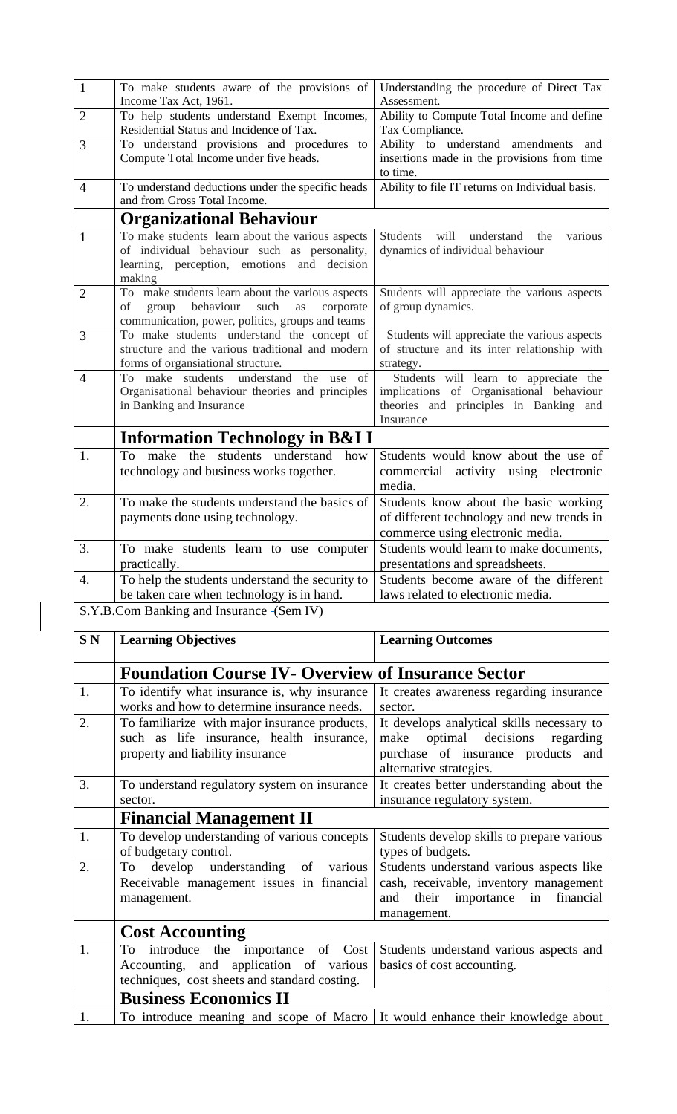| $\mathbf{1}$   | To make students aware of the provisions of<br>Income Tax Act, 1961.                                                                                        | Understanding the procedure of Direct Tax<br>Assessment.                                                                                 |
|----------------|-------------------------------------------------------------------------------------------------------------------------------------------------------------|------------------------------------------------------------------------------------------------------------------------------------------|
| $\overline{2}$ | To help students understand Exempt Incomes,                                                                                                                 | Ability to Compute Total Income and define                                                                                               |
|                | Residential Status and Incidence of Tax.                                                                                                                    | Tax Compliance.                                                                                                                          |
| 3              | To understand provisions and procedures to<br>Compute Total Income under five heads.                                                                        | Ability to understand amendments<br>and<br>insertions made in the provisions from time<br>to time.                                       |
| $\overline{4}$ | To understand deductions under the specific heads<br>and from Gross Total Income.                                                                           | Ability to file IT returns on Individual basis.                                                                                          |
|                | <b>Organizational Behaviour</b>                                                                                                                             |                                                                                                                                          |
| $\mathbf{1}$   | To make students learn about the various aspects<br>of individual behaviour such as personality,<br>learning, perception, emotions and decision<br>making   | <b>Students</b><br>will<br>understand<br>the<br>various<br>dynamics of individual behaviour                                              |
| $\overline{2}$ | To make students learn about the various aspects<br>group<br>behaviour<br>of<br>such<br>corporate<br>as<br>communication, power, politics, groups and teams | Students will appreciate the various aspects<br>of group dynamics.                                                                       |
| 3              | To make students understand the concept of<br>structure and the various traditional and modern<br>forms of organsiational structure.                        | Students will appreciate the various aspects<br>of structure and its inter relationship with<br>strategy.                                |
| $\overline{4}$ | understand the use of<br>To make students<br>Organisational behaviour theories and principles<br>in Banking and Insurance                                   | Students will learn to appreciate the<br>implications of Organisational behaviour<br>theories and principles in Banking and<br>Insurance |
|                | <b>Information Technology in B&amp;I I</b>                                                                                                                  |                                                                                                                                          |
| 1.             | To make the students understand<br>how<br>technology and business works together.                                                                           | Students would know about the use of<br>commercial<br>activity using electronic<br>media.                                                |
| 2.             | To make the students understand the basics of<br>payments done using technology.                                                                            | Students know about the basic working<br>of different technology and new trends in<br>commerce using electronic media.                   |
| 3.             | To make students learn to use computer<br>practically.                                                                                                      | Students would learn to make documents,<br>presentations and spreadsheets.                                                               |
| 4.             | To help the students understand the security to                                                                                                             | Students become aware of the different                                                                                                   |
|                | be taken care when technology is in hand.                                                                                                                   | laws related to electronic media.                                                                                                        |
|                | S Y B Com Banking and Insurance - (Sem IV)                                                                                                                  |                                                                                                                                          |

|  | S.Y.B.Com Banking and Insurance - (Sem IV) |  |  |  |
|--|--------------------------------------------|--|--|--|
|--|--------------------------------------------|--|--|--|

 $\begin{array}{c} \begin{array}{c} \begin{array}{c} \end{array} \end{array} \end{array}$ 

| SN <sub></sub> | <b>Learning Objectives</b>                                                                                                                 | <b>Learning Outcomes</b>                                                                                                                           |  |
|----------------|--------------------------------------------------------------------------------------------------------------------------------------------|----------------------------------------------------------------------------------------------------------------------------------------------------|--|
|                | <b>Foundation Course IV- Overview of Insurance Sector</b>                                                                                  |                                                                                                                                                    |  |
| 1.             | To identify what insurance is, why insurance<br>works and how to determine insurance needs.                                                | It creates awareness regarding insurance<br>sector.                                                                                                |  |
| 2.             | To familiarize with major insurance products,<br>such as life insurance, health insurance,<br>property and liability insurance             | It develops analytical skills necessary to<br>make optimal decisions<br>regarding<br>purchase of insurance products and<br>alternative strategies. |  |
| 3.             | To understand regulatory system on insurance<br>sector.                                                                                    | It creates better understanding about the<br>insurance regulatory system.                                                                          |  |
|                | <b>Financial Management II</b>                                                                                                             |                                                                                                                                                    |  |
| 1.             | To develop understanding of various concepts<br>of budgetary control.                                                                      | Students develop skills to prepare various<br>types of budgets.                                                                                    |  |
| 2.             | develop understanding<br>of<br>various<br>To<br>Receivable management issues in financial<br>management.                                   | Students understand various aspects like<br>cash, receivable, inventory management<br>their importance in<br>financial<br>and<br>management.       |  |
|                | <b>Cost Accounting</b>                                                                                                                     |                                                                                                                                                    |  |
| 1.             | introduce<br>the importance<br>of<br>Cost<br>To<br>Accounting, and application of various<br>techniques, cost sheets and standard costing. | Students understand various aspects and<br>basics of cost accounting.                                                                              |  |
|                | <b>Business Economics II</b>                                                                                                               |                                                                                                                                                    |  |
| 1.             | To introduce meaning and scope of Macro                                                                                                    | It would enhance their knowledge about                                                                                                             |  |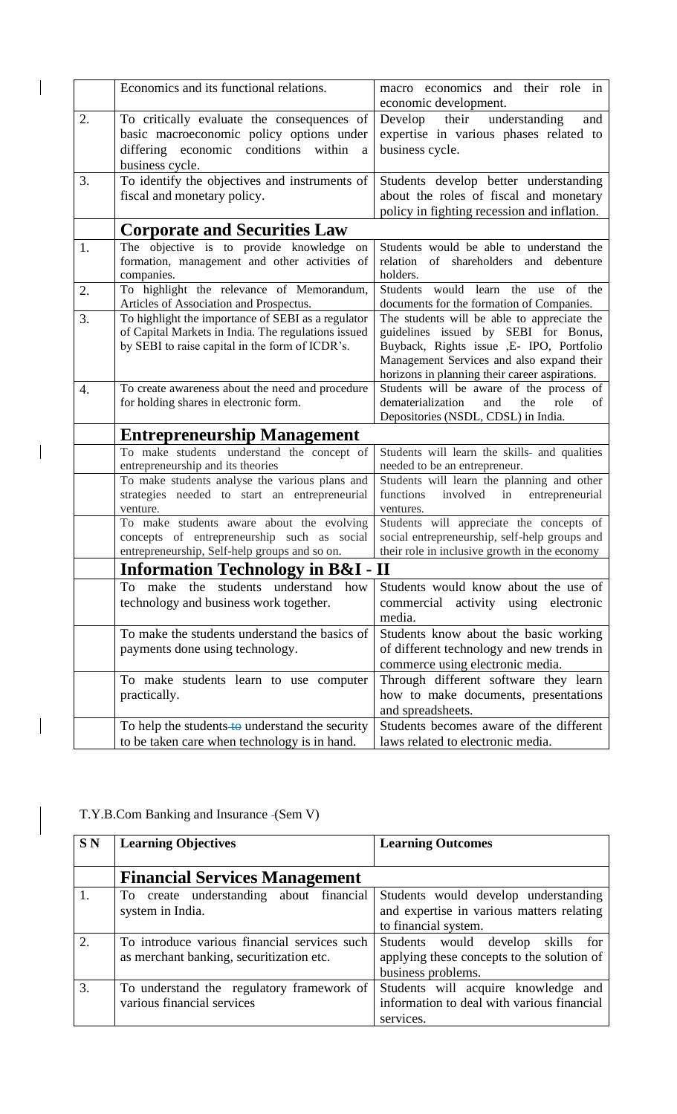|    | Economics and its functional relations.                                                                                                                      | macro economics and their role in<br>economic development.                                                                                                                                                                      |
|----|--------------------------------------------------------------------------------------------------------------------------------------------------------------|---------------------------------------------------------------------------------------------------------------------------------------------------------------------------------------------------------------------------------|
| 2. | To critically evaluate the consequences of<br>basic macroeconomic policy options under<br>differing economic conditions<br>within<br>a<br>business cycle.    | Develop their<br>understanding<br>and<br>expertise in various phases related to<br>business cycle.                                                                                                                              |
| 3. | To identify the objectives and instruments of<br>fiscal and monetary policy.                                                                                 | Students develop better understanding<br>about the roles of fiscal and monetary<br>policy in fighting recession and inflation.                                                                                                  |
|    | <b>Corporate and Securities Law</b>                                                                                                                          |                                                                                                                                                                                                                                 |
| 1. | The objective is to provide knowledge on<br>formation, management and other activities of<br>companies.                                                      | Students would be able to understand the<br>relation<br>shareholders<br>of<br>and debenture<br>holders.                                                                                                                         |
| 2. | To highlight the relevance of Memorandum,<br>Articles of Association and Prospectus.                                                                         | Students would learn the<br>of the<br>use<br>documents for the formation of Companies.                                                                                                                                          |
| 3. | To highlight the importance of SEBI as a regulator<br>of Capital Markets in India. The regulations issued<br>by SEBI to raise capital in the form of ICDR's. | The students will be able to appreciate the<br>guidelines issued by SEBI for Bonus,<br>Buyback, Rights issue , E- IPO, Portfolio<br>Management Services and also expand their<br>horizons in planning their career aspirations. |
| 4. | To create awareness about the need and procedure<br>for holding shares in electronic form.                                                                   | Students will be aware of the process of<br>dematerialization<br>and<br>the<br>role<br>of<br>Depositories (NSDL, CDSL) in India.                                                                                                |
|    | <b>Entrepreneurship Management</b>                                                                                                                           |                                                                                                                                                                                                                                 |
|    | To make students understand the concept of<br>entrepreneurship and its theories<br>To make students analyse the various plans and                            | Students will learn the skills- and qualities<br>needed to be an entrepreneur.<br>Students will learn the planning and other                                                                                                    |
|    | strategies needed to start an entrepreneurial<br>venture.                                                                                                    | functions<br>involved<br>in<br>entrepreneurial<br>ventures.                                                                                                                                                                     |
|    | To make students aware about the evolving<br>concepts of entrepreneurship such as social<br>entrepreneurship, Self-help groups and so on.                    | Students will appreciate the concepts of<br>social entrepreneurship, self-help groups and<br>their role in inclusive growth in the economy                                                                                      |
|    | <b>Information Technology in B&amp;I</b>                                                                                                                     | $\mathbf{I}$                                                                                                                                                                                                                    |
|    | To make<br>students<br>understand<br>the<br>how<br>technology and business work together.                                                                    | Students would know about the use of<br>commercial<br>activity<br>using electronic<br>media.                                                                                                                                    |
|    | To make the students understand the basics of<br>payments done using technology.                                                                             | Students know about the basic working<br>of different technology and new trends in<br>commerce using electronic media.                                                                                                          |
|    | To make students learn to use computer<br>practically.                                                                                                       | Through different software they learn<br>how to make documents, presentations<br>and spreadsheets.                                                                                                                              |
|    | To help the students to understand the security<br>to be taken care when technology is in hand.                                                              | Students becomes aware of the different<br>laws related to electronic media.                                                                                                                                                    |

| <b>SN</b>              | <b>Learning Objectives</b>                                                               | <b>Learning Outcomes</b>                                                                                  |
|------------------------|------------------------------------------------------------------------------------------|-----------------------------------------------------------------------------------------------------------|
|                        | <b>Financial Services Management</b>                                                     |                                                                                                           |
| 1.                     | To create understanding about financial<br>system in India.                              | Students would develop understanding<br>and expertise in various matters relating<br>to financial system. |
| $\mathcal{D}_{\alpha}$ | To introduce various financial services such<br>as merchant banking, securitization etc. | Students would develop skills<br>for<br>applying these concepts to the solution of<br>business problems.  |
| 3.                     | To understand the regulatory framework of<br>various financial services                  | Students will acquire knowledge and<br>information to deal with various financial<br>services.            |

T.Y.B.Com Banking and Insurance (Sem V)

 $\begin{array}{|c|c|} \hline \rule{0pt}{12pt} \rule{0pt}{2.5pt} \rule{0pt}{2.5pt} \rule{0pt}{2.5pt} \rule{0pt}{2.5pt} \rule{0pt}{2.5pt} \rule{0pt}{2.5pt} \rule{0pt}{2.5pt} \rule{0pt}{2.5pt} \rule{0pt}{2.5pt} \rule{0pt}{2.5pt} \rule{0pt}{2.5pt} \rule{0pt}{2.5pt} \rule{0pt}{2.5pt} \rule{0pt}{2.5pt} \rule{0pt}{2.5pt} \rule{0pt}{2.5pt} \rule{0pt}{2.5pt} \rule{0pt}{2.5$ 

 $\vert$ 

 $\begin{array}{c} \hline \end{array}$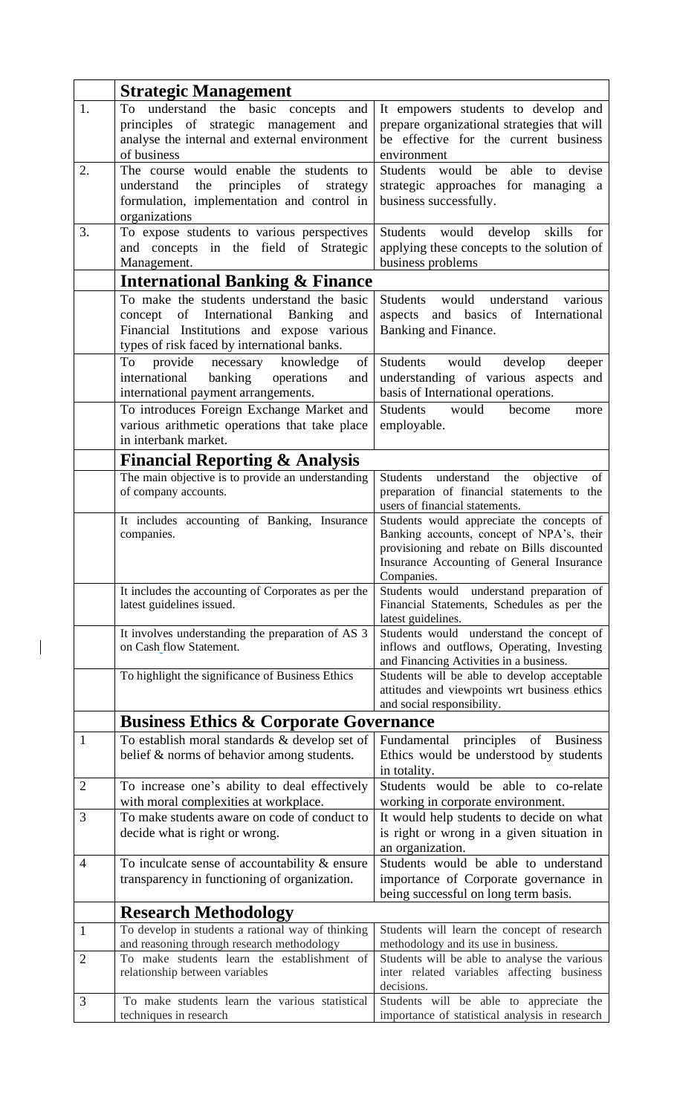|                | <b>Strategic Management</b>                                                              |                                                                                           |  |
|----------------|------------------------------------------------------------------------------------------|-------------------------------------------------------------------------------------------|--|
| 1.             | understand the basic concepts<br>To<br>and                                               | It empowers students to develop and                                                       |  |
|                | principles of strategic management<br>and                                                | prepare organizational strategies that will                                               |  |
|                | analyse the internal and external environment                                            | be effective for the current business                                                     |  |
|                | of business                                                                              | environment                                                                               |  |
| 2.             | The course would enable the students to                                                  | Students would be<br>able<br>to devise                                                    |  |
|                | the<br>principles<br>of<br>understand<br>strategy                                        | strategic approaches for managing a                                                       |  |
|                | formulation, implementation and control in                                               | business successfully.                                                                    |  |
|                | organizations                                                                            |                                                                                           |  |
| 3.             | To expose students to various perspectives                                               | Students would develop<br>skills<br>for                                                   |  |
|                | and concepts in the field of Strategic                                                   | applying these concepts to the solution of                                                |  |
|                | Management.                                                                              | business problems                                                                         |  |
|                | <b>International Banking &amp; Finance</b>                                               |                                                                                           |  |
|                | To make the students understand the basic                                                | Students<br>would<br>understand<br>various                                                |  |
|                | of International<br>concept<br><b>Banking</b><br>and                                     | of International<br>and basics<br>aspects                                                 |  |
|                | Financial Institutions and expose various                                                | Banking and Finance.                                                                      |  |
|                | types of risk faced by international banks.<br>To                                        |                                                                                           |  |
|                | provide<br>knowledge<br>necessary<br>of<br>international<br>banking<br>operations<br>and | Students<br>would<br>develop<br>deeper<br>understanding of various aspects and            |  |
|                | international payment arrangements.                                                      | basis of International operations.                                                        |  |
|                | To introduces Foreign Exchange Market and                                                | would<br>Students<br>become<br>more                                                       |  |
|                | various arithmetic operations that take place                                            | employable.                                                                               |  |
|                | in interbank market.                                                                     |                                                                                           |  |
|                | <b>Financial Reporting &amp; Analysis</b>                                                |                                                                                           |  |
|                | The main objective is to provide an understanding                                        | understand<br>objective<br><b>Students</b><br>the<br>of                                   |  |
|                | of company accounts.                                                                     | preparation of financial statements to the                                                |  |
|                |                                                                                          | users of financial statements.                                                            |  |
|                | It includes accounting of Banking, Insurance                                             | Students would appreciate the concepts of                                                 |  |
|                | companies.                                                                               | Banking accounts, concept of NPA's, their<br>provisioning and rebate on Bills discounted  |  |
|                |                                                                                          | Insurance Accounting of General Insurance                                                 |  |
|                |                                                                                          | Companies.                                                                                |  |
|                | It includes the accounting of Corporates as per the                                      | Students would understand preparation of                                                  |  |
|                | latest guidelines issued.                                                                | Financial Statements, Schedules as per the                                                |  |
|                |                                                                                          | latest guidelines.                                                                        |  |
|                | It involves understanding the preparation of AS 3<br>on Cash flow Statement.             | Students would understand the concept of<br>inflows and outflows, Operating, Investing    |  |
|                |                                                                                          | and Financing Activities in a business.                                                   |  |
|                | To highlight the significance of Business Ethics                                         | Students will be able to develop acceptable                                               |  |
|                |                                                                                          | attitudes and viewpoints wrt business ethics                                              |  |
|                |                                                                                          | and social responsibility.                                                                |  |
|                | <b>Business Ethics &amp; Corporate Governance</b>                                        |                                                                                           |  |
| 1              | To establish moral standards & develop set of                                            | principles<br><b>Business</b><br>of<br>Fundamental                                        |  |
|                | belief & norms of behavior among students.                                               | Ethics would be understood by students                                                    |  |
|                |                                                                                          | in totality.                                                                              |  |
| $\overline{2}$ | To increase one's ability to deal effectively                                            | Students would be able to co-relate                                                       |  |
|                | with moral complexities at workplace.                                                    | working in corporate environment.                                                         |  |
| 3              | To make students aware on code of conduct to                                             | It would help students to decide on what                                                  |  |
|                | decide what is right or wrong.                                                           | is right or wrong in a given situation in                                                 |  |
| $\overline{4}$ | To inculcate sense of accountability $\&$ ensure                                         | an organization.<br>Students would be able to understand                                  |  |
|                | transparency in functioning of organization.                                             | importance of Corporate governance in                                                     |  |
|                |                                                                                          | being successful on long term basis.                                                      |  |
|                | <b>Research Methodology</b>                                                              |                                                                                           |  |
| 1              | To develop in students a rational way of thinking                                        | Students will learn the concept of research                                               |  |
|                | and reasoning through research methodology                                               | methodology and its use in business.                                                      |  |
| $\overline{2}$ | To make students learn the establishment of                                              | Students will be able to analyse the various                                              |  |
|                | relationship between variables                                                           | inter related variables affecting business                                                |  |
|                | To make students learn the various statistical                                           | decisions.                                                                                |  |
| 3              | techniques in research                                                                   | Students will be able to appreciate the<br>importance of statistical analysis in research |  |
|                |                                                                                          |                                                                                           |  |

 $\begin{array}{c} \end{array}$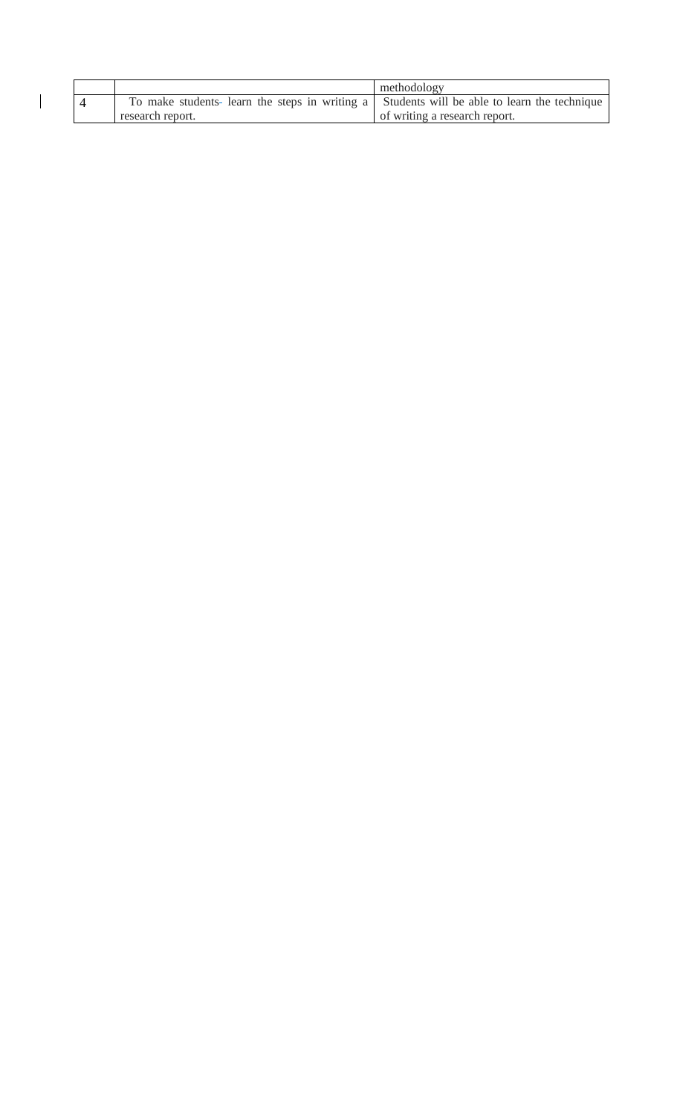|  |                                                                                             | methodology                   |
|--|---------------------------------------------------------------------------------------------|-------------------------------|
|  | To make students- learn the steps in writing a Students will be able to learn the technique |                               |
|  | research report.                                                                            | of writing a research report. |

 $\begin{array}{c} \hline \end{array}$